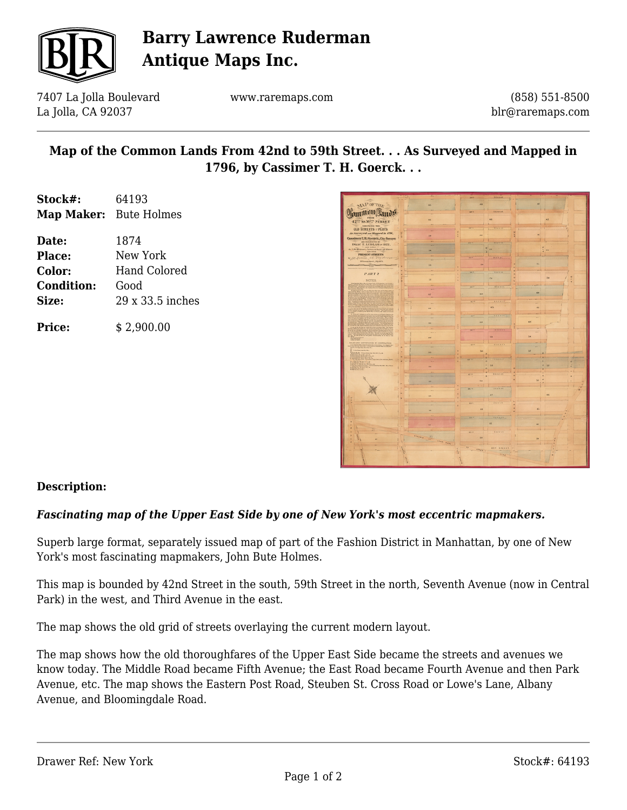

# **Barry Lawrence Ruderman Antique Maps Inc.**

7407 La Jolla Boulevard La Jolla, CA 92037

www.raremaps.com

(858) 551-8500 blr@raremaps.com

## **Map of the Common Lands From 42nd to 59th Street. . . As Surveyed and Mapped in 1796, by Cassimer T. H. Goerck. . .**

| Stock#:                       | 64193        |  |  |  |  |  |  |
|-------------------------------|--------------|--|--|--|--|--|--|
| <b>Map Maker:</b> Bute Holmes |              |  |  |  |  |  |  |
| Date:                         | 1874         |  |  |  |  |  |  |
| <b>Place:</b>                 | New York     |  |  |  |  |  |  |
|                               | 1 <b>. 1</b> |  |  |  |  |  |  |

| Color:            | Hand Colored     |  |  |  |  |
|-------------------|------------------|--|--|--|--|
| <b>Condition:</b> | Good             |  |  |  |  |
| Size:             | 29 x 33.5 inches |  |  |  |  |
|                   |                  |  |  |  |  |

**Price:** \$ 2,900.00

|                                                                                                                                                                                                                           |                                    |   |                             | Street             |              |           |                          |
|---------------------------------------------------------------------------------------------------------------------------------------------------------------------------------------------------------------------------|------------------------------------|---|-----------------------------|--------------------|--------------|-----------|--------------------------|
| MNP OF THE                                                                                                                                                                                                                | $\overline{m}$                     |   | <b>AS</b>                   |                    | ik2          |           |                          |
|                                                                                                                                                                                                                           |                                    |   |                             |                    | ×<br>-       |           |                          |
| Ormmun Lin                                                                                                                                                                                                                |                                    |   | <b>SAIG</b>                 | Street             |              |           |                          |
| 42% ro50% STREET                                                                                                                                                                                                          | m <sub>1</sub>                     |   |                             | ×s.                |              | ×3        |                          |
|                                                                                                                                                                                                                           |                                    |   |                             |                    |              |           |                          |
| <b>ABOWERD THE</b><br><b>OLD STREETS @PLOTS</b>                                                                                                                                                                           |                                    |   | 17%                         | <b>Niveas</b><br>н |              |           |                          |
| An Native of and Mapped In 1796,                                                                                                                                                                                          |                                    |   |                             |                    | in)          |           |                          |
| Cassimer E.B. Goerek, Ory Server:                                                                                                                                                                                         | 26                                 |   |                             |                    |              |           |                          |
| AND RESURFICTED BY<br>ISAAC T. LUDLAM IS SHEE,                                                                                                                                                                            |                                    |   | 56.15                       | <b>Nivert</b>      |              |           |                          |
| At 1 the Blazaney between those old Streets                                                                                                                                                                               | $\sim$                             |   | w                           | $\overline{11}$    |              | 34        |                          |
| <b>LES OFF</b><br>PRESENT STREETS                                                                                                                                                                                         |                                    |   | ä                           |                    |              |           |                          |
| 24 / B. Robins, CE. Aligh                                                                                                                                                                                                 |                                    |   | 144                         | <b>Street</b>      |              |           |                          |
| 30 Samuel Spratt, July 1874.<br>and and second control of                                                                                                                                                                 | m.                                 |   | 74                          |                    | 15           |           |                          |
|                                                                                                                                                                                                                           |                                    |   |                             |                    |              |           |                          |
| PART 2                                                                                                                                                                                                                    |                                    |   | is o                        | <b>Street</b>      |              |           |                          |
|                                                                                                                                                                                                                           | 78                                 |   |                             | n.                 |              | 70        |                          |
| <b>NOTES</b><br><b>CANTING</b>                                                                                                                                                                                            |                                    |   |                             |                    |              |           |                          |
|                                                                                                                                                                                                                           |                                    |   | 6618                        | <b>Sireet</b>      |              |           |                          |
|                                                                                                                                                                                                                           | $\overline{a}$                     |   | <b>GN</b>                   |                    | da.          |           |                          |
|                                                                                                                                                                                                                           |                                    |   |                             |                    |              |           |                          |
|                                                                                                                                                                                                                           |                                    |   | $M \rightarrow$             | <b>Street</b>      |              |           |                          |
|                                                                                                                                                                                                                           | es.                                |   |                             | 65                 | 64           |           |                          |
|                                                                                                                                                                                                                           |                                    |   |                             |                    |              |           |                          |
|                                                                                                                                                                                                                           | -                                  |   | 14.1                        | <b>STEERT</b>      | ۰            |           |                          |
|                                                                                                                                                                                                                           | es.                                |   | 62                          |                    | 65           |           |                          |
|                                                                                                                                                                                                                           |                                    |   | <b>Car Vie</b>              | <b>Steert</b>      | -            |           |                          |
|                                                                                                                                                                                                                           | ÷                                  |   |                             |                    |              |           |                          |
| 또                                                                                                                                                                                                                         | co.                                |   |                             | lo.                | SA.          |           |                          |
| VALUE AND CONVEYANCES BY CORPORATION                                                                                                                                                                                      |                                    |   | an vi                       | <b>NETERS</b>      |              |           |                          |
| t bandarískal statistika (* 19. srpna 19. lipna)<br>18. srpna – Jacques Bandaríska, filosof (* 19. srpna 1911)<br>18. srpna – Jacques Bandaríska, filosof (* 19. srpna 1911)<br><b><i>Life of the Light State Co.</i></b> |                                    |   |                             |                    | ÷            |           |                          |
|                                                                                                                                                                                                                           | ss.                                |   | 56                          |                    | 22           |           |                          |
| <b>TEAME</b>                                                                                                                                                                                                              |                                    | ٠ | ۰<br>48.19                  | <b>SEPHIN</b>      | i al         |           |                          |
| CHARLES                                                                                                                                                                                                                   |                                    | ٠ | ٠<br>٠                      |                    |              | ×         | $\overline{\phantom{a}}$ |
|                                                                                                                                                                                                                           | Se.                                |   | a.                          | 33                 |              | <b>Bd</b> |                          |
|                                                                                                                                                                                                                           |                                    |   | ٠<br><b>AT</b> <sup>m</sup> | <b>Street</b>      |              |           |                          |
|                                                                                                                                                                                                                           | $\sim$                             |   | ×                           |                    | s.           |           |                          |
|                                                                                                                                                                                                                           | er.                                |   | 349                         |                    |              |           |                          |
|                                                                                                                                                                                                                           |                                    |   | <b>BE IN</b>                | STEFFE             |              |           |                          |
|                                                                                                                                                                                                                           |                                    | ٠ |                             | 62                 |              | 46        |                          |
|                                                                                                                                                                                                                           | u.                                 |   |                             |                    |              |           |                          |
|                                                                                                                                                                                                                           |                                    |   | <b>KIN</b>                  | <b>BEFRIET</b>     |              |           |                          |
|                                                                                                                                                                                                                           | $\bullet$                          |   | $\mathbf{H}$                |                    | 45           |           |                          |
|                                                                                                                                                                                                                           |                                    |   |                             |                    |              |           |                          |
|                                                                                                                                                                                                                           |                                    |   | as m                        | <b>STEEFT</b>      |              |           |                          |
|                                                                                                                                                                                                                           | ez.                                |   |                             | $\mathbf{u}$       | $\mathbf{u}$ |           |                          |
|                                                                                                                                                                                                                           |                                    |   |                             |                    |              |           |                          |
|                                                                                                                                                                                                                           |                                    |   | 45.13                       | <b>NUMBER</b>      |              |           |                          |
| ×                                                                                                                                                                                                                         | <b>ANTIFERE</b><br>$\frac{37}{10}$ |   | z.                          |                    | 29.          |           |                          |
|                                                                                                                                                                                                                           | <b>Comments</b>                    |   |                             |                    |              |           |                          |
|                                                                                                                                                                                                                           |                                    |   | $\alpha$ .<br>$-$ Here's    | <b>SIM STEPPE</b>  |              |           |                          |
|                                                                                                                                                                                                                           |                                    |   |                             | 1448               |              |           |                          |
|                                                                                                                                                                                                                           |                                    |   |                             |                    |              |           |                          |
|                                                                                                                                                                                                                           |                                    |   |                             |                    |              |           |                          |

### **Description:**

## *Fascinating map of the Upper East Side by one of New York's most eccentric mapmakers.*

Superb large format, separately issued map of part of the Fashion District in Manhattan, by one of New York's most fascinating mapmakers, John Bute Holmes.

This map is bounded by 42nd Street in the south, 59th Street in the north, Seventh Avenue (now in Central Park) in the west, and Third Avenue in the east.

The map shows the old grid of streets overlaying the current modern layout.

The map shows how the old thoroughfares of the Upper East Side became the streets and avenues we know today. The Middle Road became Fifth Avenue; the East Road became Fourth Avenue and then Park Avenue, etc. The map shows the Eastern Post Road, Steuben St. Cross Road or Lowe's Lane, Albany Avenue, and Bloomingdale Road.